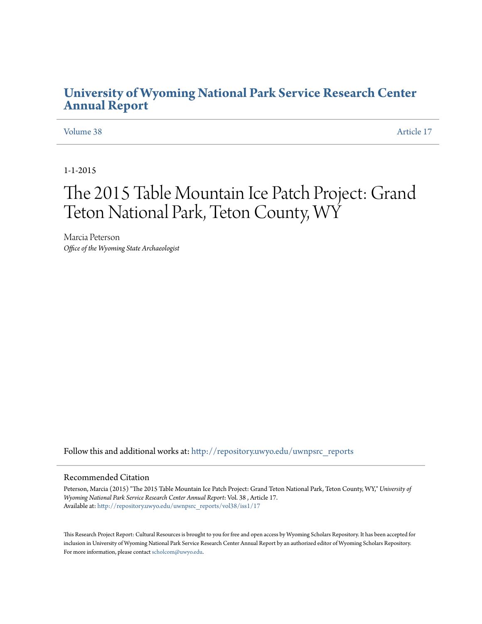### **[University of Wyoming National Park Service Research Center](http://repository.uwyo.edu/uwnpsrc_reports?utm_source=repository.uwyo.edu%2Fuwnpsrc_reports%2Fvol38%2Fiss1%2F17&utm_medium=PDF&utm_campaign=PDFCoverPages) [Annual Report](http://repository.uwyo.edu/uwnpsrc_reports?utm_source=repository.uwyo.edu%2Fuwnpsrc_reports%2Fvol38%2Fiss1%2F17&utm_medium=PDF&utm_campaign=PDFCoverPages)**

[Volume 38](http://repository.uwyo.edu/uwnpsrc_reports/vol38?utm_source=repository.uwyo.edu%2Fuwnpsrc_reports%2Fvol38%2Fiss1%2F17&utm_medium=PDF&utm_campaign=PDFCoverPages) [Article 17](http://repository.uwyo.edu/uwnpsrc_reports/vol38/iss1/17?utm_source=repository.uwyo.edu%2Fuwnpsrc_reports%2Fvol38%2Fiss1%2F17&utm_medium=PDF&utm_campaign=PDFCoverPages)

1-1-2015

# The 2015 Table Mountain Ice Patch Project: Grand Teton National Park, Teton County, WY

Marcia Peterson *Office of the Wyoming State Archaeologist*

Follow this and additional works at: [http://repository.uwyo.edu/uwnpsrc\\_reports](http://repository.uwyo.edu/uwnpsrc_reports?utm_source=repository.uwyo.edu%2Fuwnpsrc_reports%2Fvol38%2Fiss1%2F17&utm_medium=PDF&utm_campaign=PDFCoverPages)

#### Recommended Citation

Peterson, Marcia (2015) "The 2015 Table Mountain Ice Patch Project: Grand Teton National Park, Teton County, WY," *University of Wyoming National Park Service Research Center Annual Report*: Vol. 38 , Article 17. Available at: [http://repository.uwyo.edu/uwnpsrc\\_reports/vol38/iss1/17](http://repository.uwyo.edu/uwnpsrc_reports/vol38/iss1/17?utm_source=repository.uwyo.edu%2Fuwnpsrc_reports%2Fvol38%2Fiss1%2F17&utm_medium=PDF&utm_campaign=PDFCoverPages)

This Research Project Report: Cultural Resources is brought to you for free and open access by Wyoming Scholars Repository. It has been accepted for inclusion in University of Wyoming National Park Service Research Center Annual Report by an authorized editor of Wyoming Scholars Repository. For more information, please contact [scholcom@uwyo.edu](mailto:scholcom@uwyo.edu).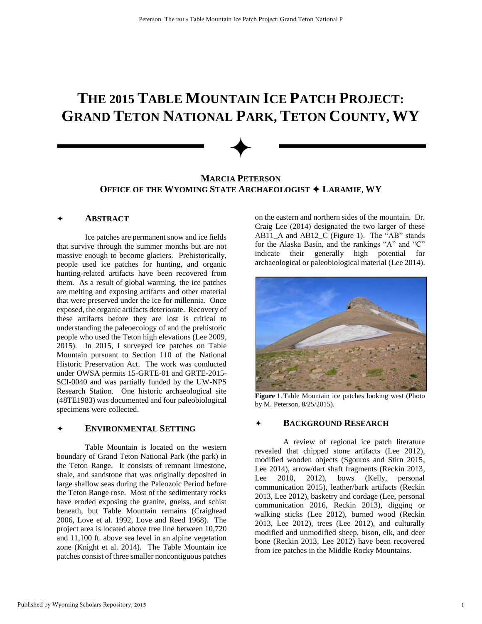## **THE 2015 TABLE MOUNTAIN ICE PATCH PROJECT: GRAND TETON NATIONAL PARK, TETON COUNTY, WY**

### **MARCIA PETERSON OFFICE OF THE WYOMING STATE ARCHAEOLOGIST LARAMIE, WY**

✦

#### **ABSTRACT**

 Ice patches are permanent snow and ice fields that survive through the summer months but are not massive enough to become glaciers. Prehistorically, people used ice patches for hunting, and organic hunting-related artifacts have been recovered from them. As a result of global warming, the ice patches are melting and exposing artifacts and other material that were preserved under the ice for millennia. Once exposed, the organic artifacts deteriorate. Recovery of these artifacts before they are lost is critical to understanding the paleoecology of and the prehistoric people who used the Teton high elevations (Lee 2009, 2015). In 2015, I surveyed ice patches on Table Mountain pursuant to Section 110 of the National Historic Preservation Act. The work was conducted under OWSA permits 15-GRTE-01 and GRTE-2015- SCI-0040 and was partially funded by the UW-NPS Research Station. One historic archaeological site (48TE1983) was documented and four paleobiological specimens were collected.

#### **ENVIRONMENTAL SETTING**

Table Mountain is located on the western boundary of Grand Teton National Park (the park) in the Teton Range. It consists of remnant limestone, shale, and sandstone that was originally deposited in large shallow seas during the Paleozoic Period before the Teton Range rose. Most of the sedimentary rocks have eroded exposing the granite, gneiss, and schist beneath, but Table Mountain remains (Craighead 2006, Love et al. 1992, Love and Reed 1968). The project area is located above tree line between 10,720 and 11,100 ft. above sea level in an alpine vegetation zone (Knight et al. 2014). The Table Mountain ice patches consist of three smaller noncontiguous patches on the eastern and northern sides of the mountain. Dr. Craig Lee (2014) designated the two larger of these AB11 A and AB12 C (Figure 1). The "AB" stands for the Alaska Basin, and the rankings "A" and "C" indicate their generally high potential for archaeological or paleobiological material (Lee 2014).



**Figure 1**. Table Mountain ice patches looking west (Photo by M. Peterson, 8/25/2015).

#### **BACKGROUND RESEARCH**

A review of regional ice patch literature revealed that chipped stone artifacts (Lee 2012), modified wooden objects (Sgouros and Stirn 2015, Lee 2014), arrow/dart shaft fragments (Reckin 2013, Lee 2010, 2012), bows (Kelly, personal communication 2015), leather/bark artifacts (Reckin 2013, Lee 2012), basketry and cordage (Lee, personal communication 2016, Reckin 2013), digging or walking sticks (Lee 2012), burned wood (Reckin 2013, Lee 2012), trees (Lee 2012), and culturally modified and unmodified sheep, bison, elk, and deer bone (Reckin 2013, Lee 2012) have been recovered from ice patches in the Middle Rocky Mountains.

1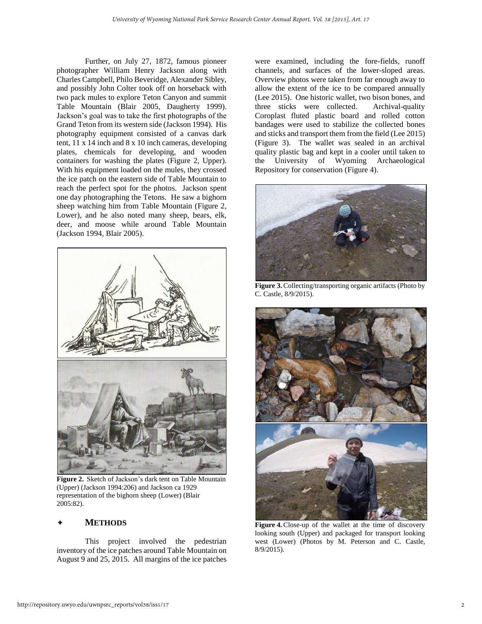Further, on July 27, 1872, famous pioneer photographer William Henry Jackson along with Charles Campbell, Philo Beveridge, Alexander Sibley, and possibly John Colter took off on horseback with two pack mules to explore Teton Canyon and summit Table Mountain (Blair 2005, Daugherty 1999). Jackson's goal was to take the first photographs of the Grand Teton from its western side (Jackson 1994). His photography equipment consisted of a canvas dark tent, 11 x 14 inch and 8 x 10 inch cameras, developing plates, chemicals for developing, and wooden containers for washing the plates (Figure 2, Upper). With his equipment loaded on the mules, they crossed the ice patch on the eastern side of Table Mountain to reach the perfect spot for the photos. Jackson spent one day photographing the Tetons. He saw a bighorn sheep watching him from Table Mountain (Figure 2, Lower), and he also noted many sheep, bears, elk, deer, and moose while around Table Mountain (Jackson 1994, Blair 2005).



**Figure 2.** Sketch of Jackson's dark tent on Table Mountain (Upper) (Jackson 1994:206) and Jackson ca 1929 representation of the bighorn sheep (Lower) (Blair 2005:82).

#### **METHODS**

This project involved the pedestrian inventory of the ice patches around Table Mountain on August 9 and 25, 2015. All margins of the ice patches were examined, including the fore-fields, runoff channels, and surfaces of the lower-sloped areas. Overview photos were taken from far enough away to allow the extent of the ice to be compared annually (Lee 2015). One historic wallet, two bison bones, and three sticks were collected. Archival-quality Coroplast fluted plastic board and rolled cotton bandages were used to stabilize the collected bones and sticks and transport them from the field (Lee 2015) (Figure 3). The wallet was sealed in an archival quality plastic bag and kept in a cooler until taken to the University of Wyoming Archaeological Repository for conservation (Figure 4).



**Figure 3.** Collecting/transporting organic artifacts (Photo by C. Castle, 8/9/2015).



Figure 4. Close-up of the wallet at the time of discovery looking south (Upper) and packaged for transport looking west (Lower) (Photos by M. Peterson and C. Castle, 8/9/2015).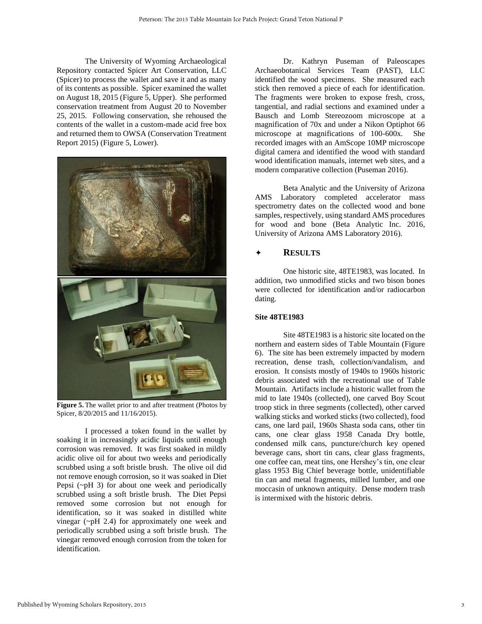The University of Wyoming Archaeological Repository contacted Spicer Art Conservation, LLC (Spicer) to process the wallet and save it and as many of its contents as possible. Spicer examined the wallet on August 18, 2015 (Figure 5, Upper). She performed conservation treatment from August 20 to November 25, 2015. Following conservation, she rehoused the contents of the wallet in a custom-made acid free box and returned them to OWSA (Conservation Treatment Report 2015) (Figure 5, Lower).



**Figure 5.** The wallet prior to and after treatment (Photos by Spicer, 8/20/2015 and 11/16/2015).

I processed a token found in the wallet by soaking it in increasingly acidic liquids until enough corrosion was removed. It was first soaked in mildly acidic olive oil for about two weeks and periodically scrubbed using a soft bristle brush. The olive oil did not remove enough corrosion, so it was soaked in Diet Pepsi (~pH 3) for about one week and periodically scrubbed using a soft bristle brush. The Diet Pepsi removed some corrosion but not enough for identification, so it was soaked in distilled white vinegar (~pH 2.4) for approximately one week and periodically scrubbed using a soft bristle brush. The vinegar removed enough corrosion from the token for identification.

Dr. Kathryn Puseman of Paleoscapes Archaeobotanical Services Team (PAST), LLC identified the wood specimens. She measured each stick then removed a piece of each for identification. The fragments were broken to expose fresh, cross, tangential, and radial sections and examined under a Bausch and Lomb Stereozoom microscope at a magnification of 70x and under a Nikon Optiphot 66 microscope at magnifications of 100-600x. She recorded images with an AmScope 10MP microscope digital camera and identified the wood with standard wood identification manuals, internet web sites, and a modern comparative collection (Puseman 2016).

Beta Analytic and the University of Arizona AMS Laboratory completed accelerator mass spectrometry dates on the collected wood and bone samples, respectively, using standard AMS procedures for wood and bone (Beta Analytic Inc. 2016, University of Arizona AMS Laboratory 2016).

#### **RESULTS**

One historic site, 48TE1983, was located. In addition, two unmodified sticks and two bison bones were collected for identification and/or radiocarbon dating.

#### **Site 48TE1983**

 Site 48TE1983 is a historic site located on the northern and eastern sides of Table Mountain (Figure 6). The site has been extremely impacted by modern recreation, dense trash, collection/vandalism, and erosion. It consists mostly of 1940s to 1960s historic debris associated with the recreational use of Table Mountain. Artifacts include a historic wallet from the mid to late 1940s (collected), one carved Boy Scout troop stick in three segments (collected), other carved walking sticks and worked sticks (two collected), food cans, one lard pail, 1960s Shasta soda cans, other tin cans, one clear glass 1958 Canada Dry bottle, condensed milk cans, puncture/church key opened beverage cans, short tin cans, clear glass fragments, one coffee can, meat tins, one Hershey's tin, one clear glass 1953 Big Chief beverage bottle, unidentifiable tin can and metal fragments, milled lumber, and one moccasin of unknown antiquity. Dense modern trash is intermixed with the historic debris.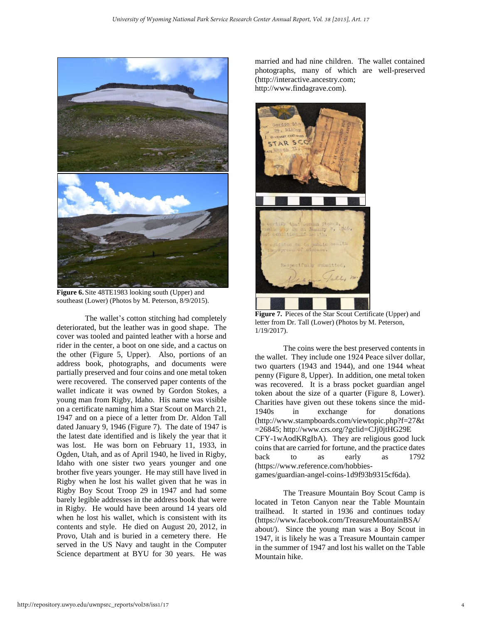

**Figure 6.** Site 48TE1983 looking south (Upper) and southeast (Lower) (Photos by M. Peterson, 8/9/2015).

The wallet's cotton stitching had completely deteriorated, but the leather was in good shape. The cover was tooled and painted leather with a horse and rider in the center, a boot on one side, and a cactus on the other (Figure 5, Upper). Also, portions of an address book, photographs, and documents were partially preserved and four coins and one metal token were recovered. The conserved paper contents of the wallet indicate it was owned by Gordon Stokes, a young man from Rigby, Idaho. His name was visible on a certificate naming him a Star Scout on March 21, 1947 and on a piece of a letter from Dr. Aldon Tall dated January 9, 1946 (Figure 7). The date of 1947 is the latest date identified and is likely the year that it was lost. He was born on February 11, 1933, in Ogden, Utah, and as of April 1940, he lived in Rigby, Idaho with one sister two years younger and one brother five years younger. He may still have lived in Rigby when he lost his wallet given that he was in Rigby Boy Scout Troop 29 in 1947 and had some barely legible addresses in the address book that were in Rigby. He would have been around 14 years old when he lost his wallet, which is consistent with its contents and style. He died on August 20, 2012, in Provo, Utah and is buried in a cemetery there. He served in the US Navy and taught in the Computer Science department at BYU for 30 years. He was married and had nine children. The wallet contained photographs, many of which are well-preserved (http://interactive.ancestry.com; http://www.findagrave.com).



**Figure 7.** Pieces of the Star Scout Certificate (Upper) and letter from Dr. Tall (Lower) (Photos by M. Peterson, 1/19/2017).

The coins were the best preserved contents in the wallet. They include one 1924 Peace silver dollar, two quarters (1943 and 1944), and one 1944 wheat penny (Figure 8, Upper). In addition, one metal token was recovered. It is a brass pocket guardian angel token about the size of a quarter (Figure 8, Lower). Charities have given out these tokens since the mid-1940s in exchange for donations (http://www.stampboards.com/viewtopic.php?f=27&t =26845; http://www.crs.org/?gclid=CJj0jtHG29E CFY-1wAodKRgIbA). They are religious good luck coins that are carried for fortune, and the practice dates back to as early as 1792 [\(https://www.reference.com/hobbies](https://www.reference.com/hobbies-games/guardian-angel-coins-1d9f93b9315cf6da)[games/guardian-angel-coins-1d9f93b9315cf6da\)](https://www.reference.com/hobbies-games/guardian-angel-coins-1d9f93b9315cf6da).

 The Treasure Mountain Boy Scout Camp is located in Teton Canyon near the Table Mountain trailhead. It started in 1936 and continues today (https://www.facebook.com/TreasureMountainBSA/ about/). Since the young man was a Boy Scout in 1947, it is likely he was a Treasure Mountain camper in the summer of 1947 and lost his wallet on the Table Mountain hike.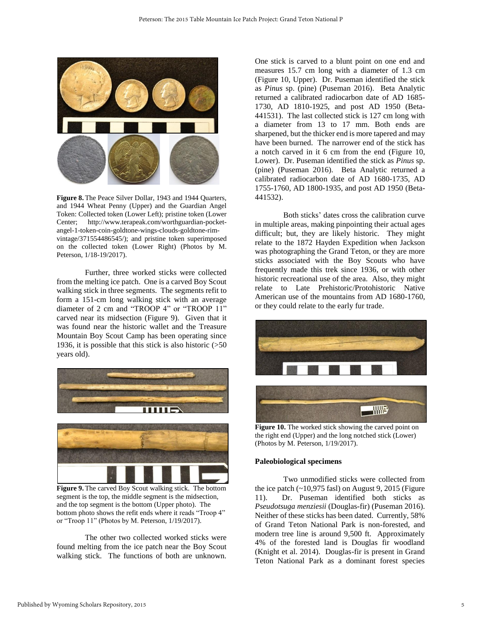

**Figure 8.** The Peace Silver Dollar, 1943 and 1944 Quarters, and 1944 Wheat Penny (Upper) and the Guardian Angel Token: Collected token (Lower Left); pristine token (Lower Center; http://www.terapeak.com/worthguardian-pocketangel-1-token-coin-goldtone-wings-clouds-goldtone-rimvintage/371554486545/); and pristine token superimposed on the collected token (Lower Right) (Photos by M. Peterson, 1/18-19/2017).

Further, three worked sticks were collected from the melting ice patch. One is a carved Boy Scout walking stick in three segments. The segments refit to form a 151-cm long walking stick with an average diameter of 2 cm and "TROOP 4" or "TROOP 11" carved near its midsection (Figure 9). Given that it was found near the historic wallet and the Treasure Mountain Boy Scout Camp has been operating since 1936, it is possible that this stick is also historic (>50 years old).



segment is the top, the middle segment is the midsection, and the top segment is the bottom (Upper photo). The bottom photo shows the refit ends where it reads "Troop 4" or "Troop 11" (Photos by M. Peterson, 1/19/2017).

 The other two collected worked sticks were found melting from the ice patch near the Boy Scout walking stick. The functions of both are unknown.

One stick is carved to a blunt point on one end and measures 15.7 cm long with a diameter of 1.3 cm (Figure 10, Upper). Dr. Puseman identified the stick as *Pinus* sp. (pine) (Puseman 2016). Beta Analytic returned a calibrated radiocarbon date of AD 1685- 1730, AD 1810-1925, and post AD 1950 (Beta-441531). The last collected stick is 127 cm long with a diameter from 13 to 17 mm. Both ends are sharpened, but the thicker end is more tapered and may have been burned. The narrower end of the stick has a notch carved in it 6 cm from the end (Figure 10, Lower). Dr. Puseman identified the stick as *Pinus* sp. (pine) (Puseman 2016). Beta Analytic returned a calibrated radiocarbon date of AD 1680-1735, AD 1755-1760, AD 1800-1935, and post AD 1950 (Beta-441532).

Both sticks' dates cross the calibration curve in multiple areas, making pinpointing their actual ages difficult; but, they are likely historic. They might relate to the 1872 Hayden Expedition when Jackson was photographing the Grand Teton, or they are more sticks associated with the Boy Scouts who have frequently made this trek since 1936, or with other historic recreational use of the area. Also, they might relate to Late Prehistoric/Protohistoric Native American use of the mountains from AD 1680-1760, or they could relate to the early fur trade.



**Figure 10.** The worked stick showing the carved point on the right end (Upper) and the long notched stick (Lower) (Photos by M. Peterson, 1/19/2017).

#### **Paleobiological specimens**

 Two unmodified sticks were collected from the ice patch  $(-10,975$  fasl) on August 9, 2015 (Figure 11). Dr. Puseman identified both sticks as *Pseudotsuga menziesii* (Douglas-fir) (Puseman 2016). Neither of these sticks has been dated. Currently, 58% of Grand Teton National Park is non-forested, and modern tree line is around 9,500 ft. Approximately 4% of the forested land is Douglas fir woodland (Knight et al. 2014). Douglas-fir is present in Grand Teton National Park as a dominant forest species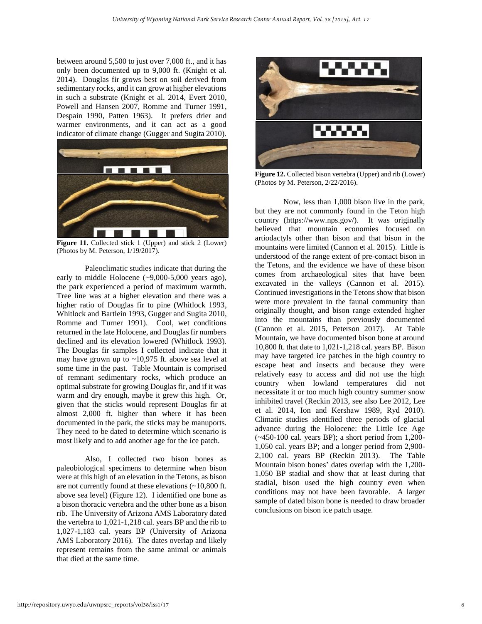between around 5,500 to just over 7,000 ft., and it has only been documented up to 9,000 ft. (Knight et al. 2014). Douglas fir grows best on soil derived from sedimentary rocks, and it can grow at higher elevations in such a substrate (Knight et al. 2014, Evert 2010, Powell and Hansen 2007, Romme and Turner 1991, Despain 1990, Patten 1963). It prefers drier and warmer environments, and it can act as a good indicator of climate change (Gugger and Sugita 2010).



**Figure 11.** Collected stick 1 (Upper) and stick 2 (Lower) (Photos by M. Peterson, 1/19/2017).

Paleoclimatic studies indicate that during the early to middle Holocene (~9,000-5,000 years ago), the park experienced a period of maximum warmth. Tree line was at a higher elevation and there was a higher ratio of Douglas fir to pine (Whitlock 1993, Whitlock and Bartlein 1993, Gugger and Sugita 2010, Romme and Turner 1991). Cool, wet conditions returned in the late Holocene, and Douglas fir numbers declined and its elevation lowered (Whitlock 1993). The Douglas fir samples I collected indicate that it may have grown up to ~10,975 ft. above sea level at some time in the past. Table Mountain is comprised of remnant sedimentary rocks, which produce an optimal substrate for growing Douglas fir, and if it was warm and dry enough, maybe it grew this high. Or, given that the sticks would represent Douglas fir at almost 2,000 ft. higher than where it has been documented in the park, the sticks may be manuports. They need to be dated to determine which scenario is most likely and to add another age for the ice patch.

Also, I collected two bison bones as paleobiological specimens to determine when bison were at this high of an elevation in the Tetons, as bison are not currently found at these elevations (~10,800 ft. above sea level) (Figure 12). I identified one bone as a bison thoracic vertebra and the other bone as a bison rib. The University of Arizona AMS Laboratory dated the vertebra to 1,021-1,218 cal. years BP and the rib to 1,027-1,183 cal. years BP (University of Arizona AMS Laboratory 2016). The dates overlap and likely represent remains from the same animal or animals that died at the same time.



**Figure 12.** Collected bison vertebra (Upper) and rib (Lower) (Photos by M. Peterson, 2/22/2016).

Now, less than 1,000 bison live in the park, but they are not commonly found in the Teton high country [\(https://w](https://www.nps.gov/grte/blogs/bison-a-summertime-visitor-countdown-29-days.htm)ww.nps.gov/). It was originally believed that mountain economies focused on artiodactyls other than bison and that bison in the mountains were limited (Cannon et al. 2015). Little is understood of the range extent of pre-contact bison in the Tetons, and the evidence we have of these bison comes from archaeological sites that have been excavated in the valleys (Cannon et al. 2015). Continued investigations in the Tetons show that bison were more prevalent in the faunal community than originally thought, and bison range extended higher into the mountains than previously documented (Cannon et al. 2015, Peterson 2017). At Table Mountain, we have documented bison bone at around 10,800 ft. that date to 1,021-1,218 cal. years BP. Bison may have targeted ice patches in the high country to escape heat and insects and because they were relatively easy to access and did not use the high country when lowland temperatures did not necessitate it or too much high country summer snow inhibited travel (Reckin 2013, see also Lee 2012, Lee et al. 2014, Ion and Kershaw 1989, Ryd 2010). Climatic studies identified three periods of glacial advance during the Holocene: the Little Ice Age (~450-100 cal. years BP); a short period from 1,200- 1,050 cal. years BP; and a longer period from 2,900- 2,100 cal. years BP (Reckin 2013). The Table Mountain bison bones' dates overlap with the 1,200- 1,050 BP stadial and show that at least during that stadial, bison used the high country even when conditions may not have been favorable. A larger sample of dated bison bone is needed to draw broader conclusions on bison ice patch usage.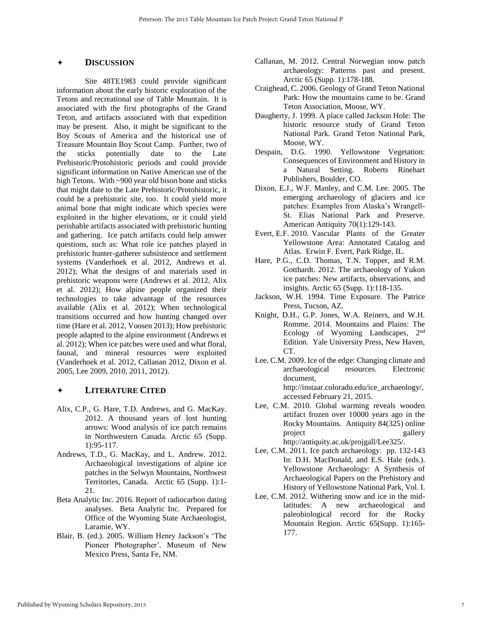#### **DISCUSSION**

 Site 48TE1983 could provide significant information about the early historic exploration of the Tetons and recreational use of Table Mountain. It is associated with the first photographs of the Grand Teton, and artifacts associated with that expedition may be present. Also, it might be significant to the Boy Scouts of America and the historical use of Treasure Mountain Boy Scout Camp. Further, two of the sticks potentially date to the Late Prehistoric/Protohistoric periods and could provide significant information on Native American use of the high Tetons. With ~900 year old bison bone and sticks that might date to the Late Prehistoric/Protohistoric, it could be a prehistoric site, too. It could yield more animal bone that might indicate which species were exploited in the higher elevations, or it could yield perishable artifacts associated with prehistoric hunting and gathering. Ice patch artifacts could help answer questions, such as: What role ice patches played in prehistoric hunter-gatherer subsistence and settlement systems (Vanderhoek et al. 2012, Andrews et al. 2012); What the designs of and materials used in prehistoric weapons were (Andrews et al. 2012, Alix et al. 2012); How alpine people organized their technologies to take advantage of the resources available (Alix et al. 2012); When technological transitions occurred and how hunting changed over time (Hare et al. 2012, Voosen 2013); How prehistoric people adapted to the alpine environment (Andrews et al. 2012); When ice patches were used and what floral, faunal, and mineral resources were exploited (Vanderhoek et al. 2012, Callanan 2012, Dixon et al. 2005, Lee 2009, 2010, 2011, 2012).

#### **LITERATURE CITED**

- Alix, C.P., G. Hare, T.D. Andrews, and G. MacKay. 2012. A thousand years of lost hunting arrows: Wood analysis of ice patch remains in Northwestern Canada. Arctic 65 (Supp. 1):95-117.
- Andrews, T.D., G. MacKay, and L. Andrew. 2012. Archaeological investigations of alpine ice patches in the Selwyn Mountains, Northwest Territories, Canada. Arctic 65 (Supp. 1):1- 21.
- Beta Analytic Inc. 2016. Report of radiocarbon dating analyses. Beta Analytic Inc. Prepared for Office of the Wyoming State Archaeologist, Laramie, WY.
- Blair, B. (ed.). 2005. William Henry Jackson's 'The Pioneer Photographer'. Museum of New Mexico Press, Santa Fe, NM.
- Callanan, M. 2012. Central Norwegian snow patch archaeology: Patterns past and present. Arctic 65 (Supp. 1):178-188.
- Craighead, C. 2006. Geology of Grand Teton National Park: How the mountains came to be. Grand Teton Association, Moose, WY.
- Daugherty, J. 1999. A place called Jackson Hole: The historic resource study of Grand Teton National Park. Grand Teton National Park, Moose, WY.
- Despain, D.G. 1990. Yellowstone Vegetation: Consequences of Environment and History in a Natural Setting. Roberts Rinehart Publishers, Boulder, CO.
- Dixon, E.J., W.F. Manley, and C.M. Lee. 2005. The emerging archaeology of glaciers and ice patches: Examples from Alaska's Wrangell-St. Elias National Park and Preserve. American Antiquity 70(1):129-143.
- Evert, E.F. 2010. Vascular Plants of the Greater Yellowstone Area: Annotated Catalog and Atlas. Erwin F. Evert, Park Ridge, IL.
- Hare, P.G., C.D. Thomas, T.N. Topper, and R.M. Gotthardt. 2012. The archaeology of Yukon ice patches: New artifacts, observations, and insights. Arctic 65 (Supp. 1):118-135.
- Jackson, W.H. 1994. Time Exposure. The Patrice Press, Tucson, AZ.
- Knight, D.H., G.P. Jones, W.A. Reiners, and W.H. Romme. 2014. Mountains and Plains: The Ecology of Wyoming Landscapes, 2nd Edition. Yale University Press, New Haven, CT.
- Lee, C.M. 2009. Ice of the edge: Changing climate and archaeological resources. Electronic document, http://instaar.colorado.edu/ice\_archaeology/, accessed February 21, 2015.
- Lee, C.M. 2010. Global warming reveals wooden artifact frozen over 10000 years ago in the Rocky Mountains. Antiquity 84(325) online project gallery http://antiquity.ac.uk/projgall/Lee325/.
- Lee, C.M. 2011. Ice patch archaeology. pp. 132-143 In: D.H. MacDonald, and E.S. Hale (eds.). Yellowstone Archaeology: A Synthesis of Archaeological Papers on the Prehistory and History of Yellowstone National Park, Vol. I.
- Lee, C.M. 2012. Withering snow and ice in the midlatitudes: A new archaeological and paleobiological record for the Rocky Mountain Region. Arctic 65(Supp. 1):165- 177.